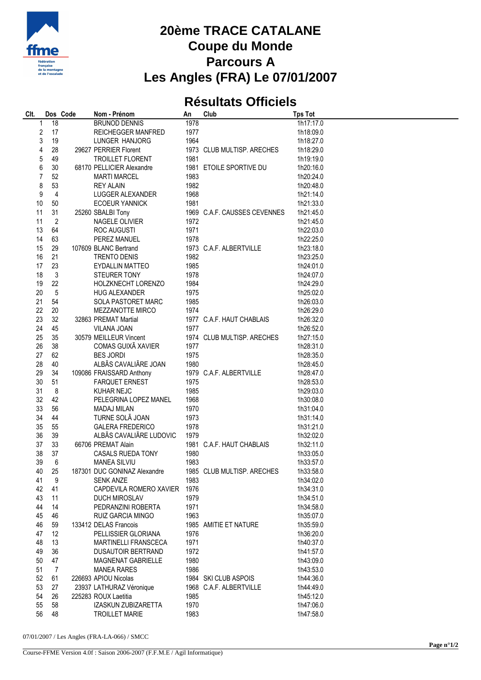

## **20ème TRACE CATALANE Coupe du Monde Parcours A Les Angles (FRA) Le 07/01/2007**

## **Résultats Officiels**

| CIt.             |                | Dos Code | Nom - Prénom                 | An   | Club                         | <b>Tps Tot</b> |
|------------------|----------------|----------|------------------------------|------|------------------------------|----------------|
| 1                | 18             |          | <b>BRUNOD DENNIS</b>         | 1978 |                              | 1h17:17.0      |
| $\boldsymbol{2}$ | 17             |          | REICHEGGER MANFRED           | 1977 |                              | 1h18:09.0      |
| 3                | 19             |          | LUNGER HANJORG               | 1964 |                              | 1h18:27.0      |
| 4                | 28             |          | 29627 PERRIER Florent        |      | 1973 CLUB MULTISP. ARECHES   | 1h18:29.0      |
| 5                | 49             |          | <b>TROILLET FLORENT</b>      | 1981 |                              | 1h19:19.0      |
| 6                | 30             |          | 68170 PELLICIER Alexandre    |      | 1981 ETOILE SPORTIVE DU      | 1h20:16.0      |
| $\overline{7}$   | 52             |          | <b>MARTI MARCEL</b>          | 1983 |                              | 1h20:24.0      |
|                  |                |          |                              |      |                              |                |
| 8                | 53             |          | <b>REY ALAIN</b>             | 1982 |                              | 1h20:48.0      |
| 9                | 4              |          | LUGGER ALEXANDER             | 1968 |                              | 1h21:14.0      |
| $10$             | 50             |          | <b>ECOEUR YANNICK</b>        | 1981 |                              | 1h21:33.0      |
| 11               | 31             |          | 25260 SBALBI Tony            |      | 1969 C.A.F. CAUSSES CEVENNES | 1h21:45.0      |
| 11               | $\overline{2}$ |          | NAGELE OLIVIER               | 1972 |                              | 1h21:45.0      |
| 13               | 64             |          | ROC AUGUSTI                  | 1971 |                              | 1h22:03.0      |
| 14               | 63             |          | PEREZ MANUEL                 | 1978 |                              | 1h22:25.0      |
| 15               | 29             |          | 107609 BLANC Bertrand        |      | 1973 C.A.F. ALBERTVILLE      | 1h23:18.0      |
| 16               | 21             |          | TRENTO DENIS                 | 1982 |                              | 1h23:25.0      |
| 17               | 23             |          | EYDALLIN MATTEO              | 1985 |                              | 1h24:01.0      |
| 18               | 3              |          | <b>STEURER TONY</b>          | 1978 |                              | 1h24:07.0      |
| 19               | 22             |          | HOLZKNECHT LORENZO           | 1984 |                              | 1h24:29.0      |
| 20               | 5              |          | <b>HUG ALEXANDER</b>         | 1975 |                              | 1h25:02.0      |
| 21               | 54             |          | SOLA PASTORET MARC           | 1985 |                              | 1h26:03.0      |
| 22               |                |          |                              | 1974 |                              |                |
|                  | 20             |          | MEZZANOTTE MIRCO             |      |                              | 1h26:29.0      |
| 23               | 32             |          | 32863 PREMAT Martial         |      | 1977 C.A.F. HAUT CHABLAIS    | 1h26:32.0      |
| 24               | 45             |          | VILANA JOAN                  | 1977 |                              | 1h26:52.0      |
| 25               | 35             |          | 30579 MEILLEUR Vincent       |      | 1974 CLUB MULTISP. ARECHES   | 1h27:15.0      |
| 26               | 38             |          | COMAS GUIXÃ XAVIER           | 1977 |                              | 1h28:31.0      |
| 27               | 62             |          | <b>BES JORDI</b>             | 1975 |                              | 1h28:35.0      |
| 28               | 40             |          | ALBÃS CAVALIÃRE JOAN         | 1980 |                              | 1h28:45.0      |
| 29               | 34             |          | 109086 FRAISSARD Anthony     |      | 1979 C.A.F. ALBERTVILLE      | 1h28:47.0      |
| 30               | 51             |          | <b>FARQUET ERNEST</b>        | 1975 |                              | 1h28:53.0      |
| 31               | 8              |          | <b>KUHAR NEJC</b>            | 1985 |                              | 1h29:03.0      |
| 32               | 42             |          | PELEGRINA LOPEZ MANEL        | 1968 |                              | 1h30:08.0      |
| 33               | 56             |          | <b>MADAJ MILAN</b>           | 1970 |                              | 1h31:04.0      |
| 34               | 44             |          | TURNE SOLÃ JOAN              | 1973 |                              | 1h31:14.0      |
| 35               | 55             |          | <b>GALERA FREDERICO</b>      | 1978 |                              | 1h31:21.0      |
| 36               | 39             |          | ALBÃS CAVALIÃRE LUDOVIC      | 1979 |                              | 1h32:02.0      |
| 37               | 33             |          | 66706 PREMAT Alain           |      | 1981 C.A.F. HAUT CHABLAIS    | 1h32:11.0      |
| 38               | 37             |          | CASALS RUEDA TONY            | 1980 |                              | 1h33:05.0      |
| 39               | 6              |          | <b>MANEA SILVIU</b>          | 1983 |                              | 1h33:57.0      |
| 40               | 25             |          | 187301 DUC GONINAZ Alexandre |      | 1985 CLUB MULTISP. ARECHES   | 1h33:58.0      |
|                  |                |          |                              |      |                              |                |
| 41               | 9              |          | <b>SENK ANZE</b>             | 1983 |                              | 1h34:02.0      |
| 42               | 41             |          | CAPDEVILA ROMERO XAVIER 1976 |      |                              | 1h34:31.0      |
| 43               | 11             |          | DUCH MIROSLAV                | 1979 |                              | 1h34:51.0      |
| 44               | 14             |          | PEDRANZINI ROBERTA           | 1971 |                              | 1h34:58.0      |
| 45               | 46             |          | <b>RUIZ GARCIA MINGO</b>     | 1963 |                              | 1h35:07.0      |
| 46               | 59             |          | 133412 DELAS Francois        |      | 1985 AMITIE ET NATURE        | 1h35:59.0      |
| 47               | 12             |          | PELLISSIER GLORIANA          | 1976 |                              | 1h36:20.0      |
| 48               | 13             |          | MARTINELLI FRANSCECA         | 1971 |                              | 1h40:37.0      |
| 49               | 36             |          | <b>DUSAUTOIR BERTRAND</b>    | 1972 |                              | 1h41:57.0      |
| 50               | 47             |          | MAGNENAT GABRIELLE           | 1980 |                              | 1h43:09.0      |
| 51               | 7              |          | <b>MANEA RARES</b>           | 1986 |                              | 1h43:53.0      |
| 52               | 61             |          | 226693 APIOU Nicolas         |      | 1984 SKI CLUB ASPOIS         | 1h44:36.0      |
| 53               | 27             |          | 23937 LATHURAZ Véronique     |      | 1968 C.A.F. ALBERTVILLE      | 1h44:49.0      |
| 54               | 26             |          | 225283 ROUX Laetitia         | 1985 |                              | 1h45:12.0      |
| 55               | 58             |          | IZASKUN ZUBIZARETTA          | 1970 |                              | 1h47:06.0      |
| 56               | 48             |          | <b>TROILLET MARIE</b>        | 1983 |                              | 1h47:58.0      |
|                  |                |          |                              |      |                              |                |

07/01/2007 / Les Angles (FRA-LA-066) / SMCC